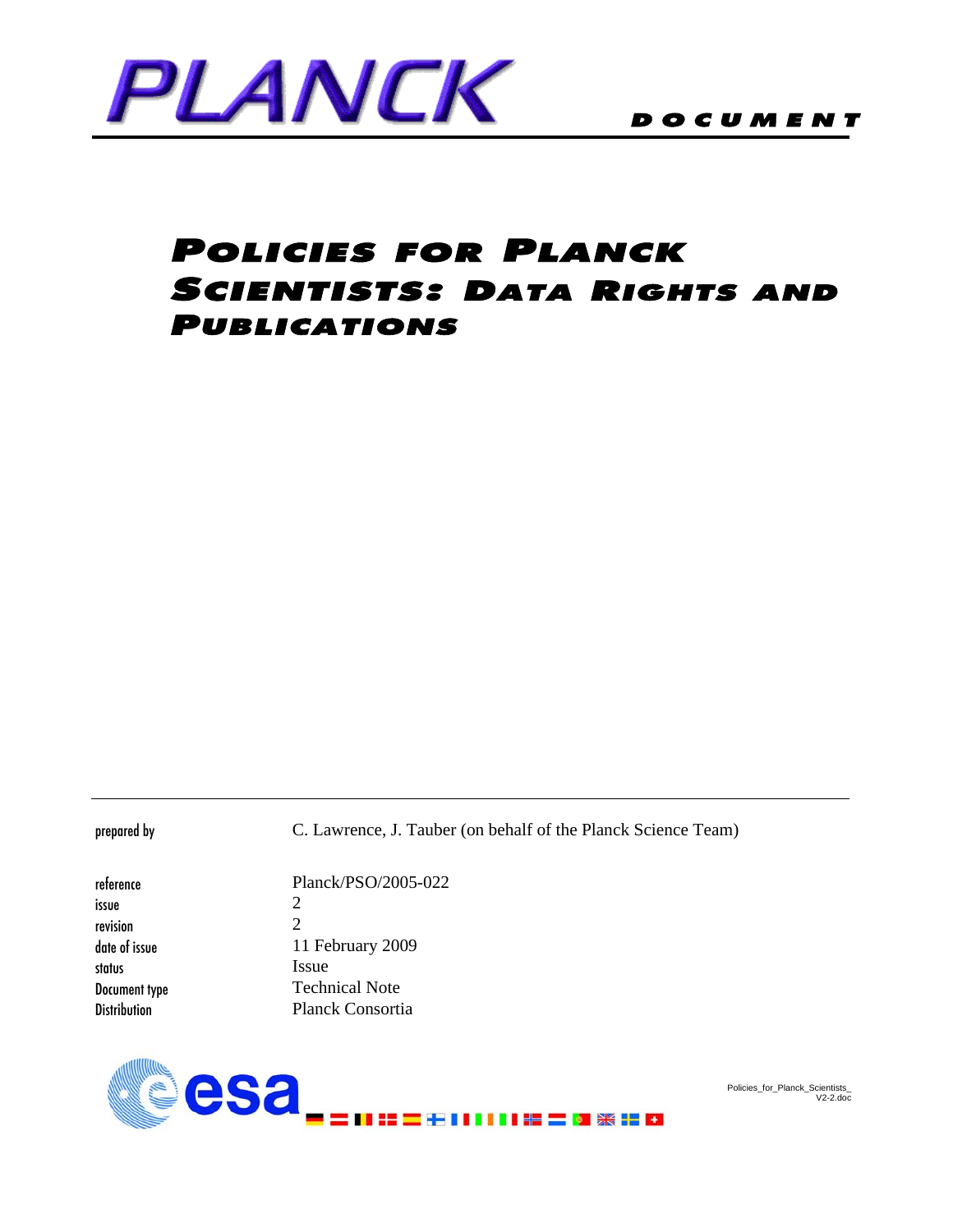

# **POLICIES FOR PLANCK** SCIENTISTS: DATA RIGHTS AND PUBLICATIONS

prepared by C. Lawrence, J. Tauber (on behalf of the Planck Science Team)

| reference           | Planck/PSO/2005-022         |
|---------------------|-----------------------------|
| issue               | 2                           |
| revision            | $\mathcal{D}_{\mathcal{L}}$ |
| date of issue       | 11 February 2009            |
| status              | <i>Issue</i>                |
| Document type       | <b>Technical Note</b>       |
| <b>Distribution</b> | <b>Planck Consortia</b>     |
|                     |                             |



Policies\_for\_Planck\_Scientists\_ V2-2.doc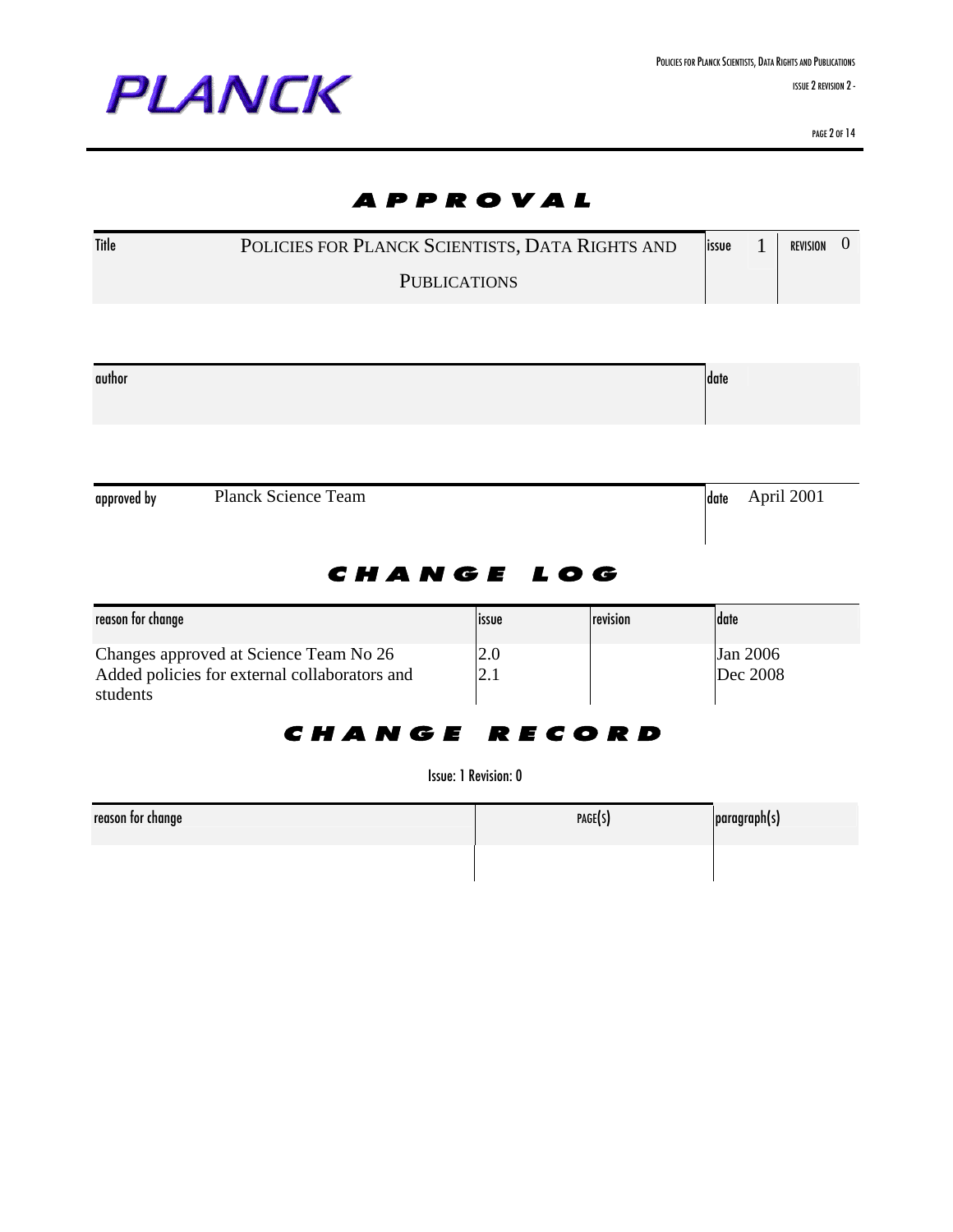

PAGE 2 OF 14

# APPROVAL Title POLICIES FOR PLANCK SCIENTISTS, DATA RIGHTS AND **PUBLICATIONS**  $\frac{1}{1}$  REVISION  $\frac{1}{1}$ author date of the control of the control of the control of the control of the control of the control of the c approved by Planck Science Team date April 2001 CHANGE LOG reason for change issue reason for change issue reason for change  $|$  date Changes approved at Science Team No 26 Added policies for external collaborators and students 2.0 2.1 Jan 2006 Dec 2008 CHANGE RECORD Issue: 1Revision: 0

| reason tor change | PAGE(S) | paragraph(s) |
|-------------------|---------|--------------|
|                   |         |              |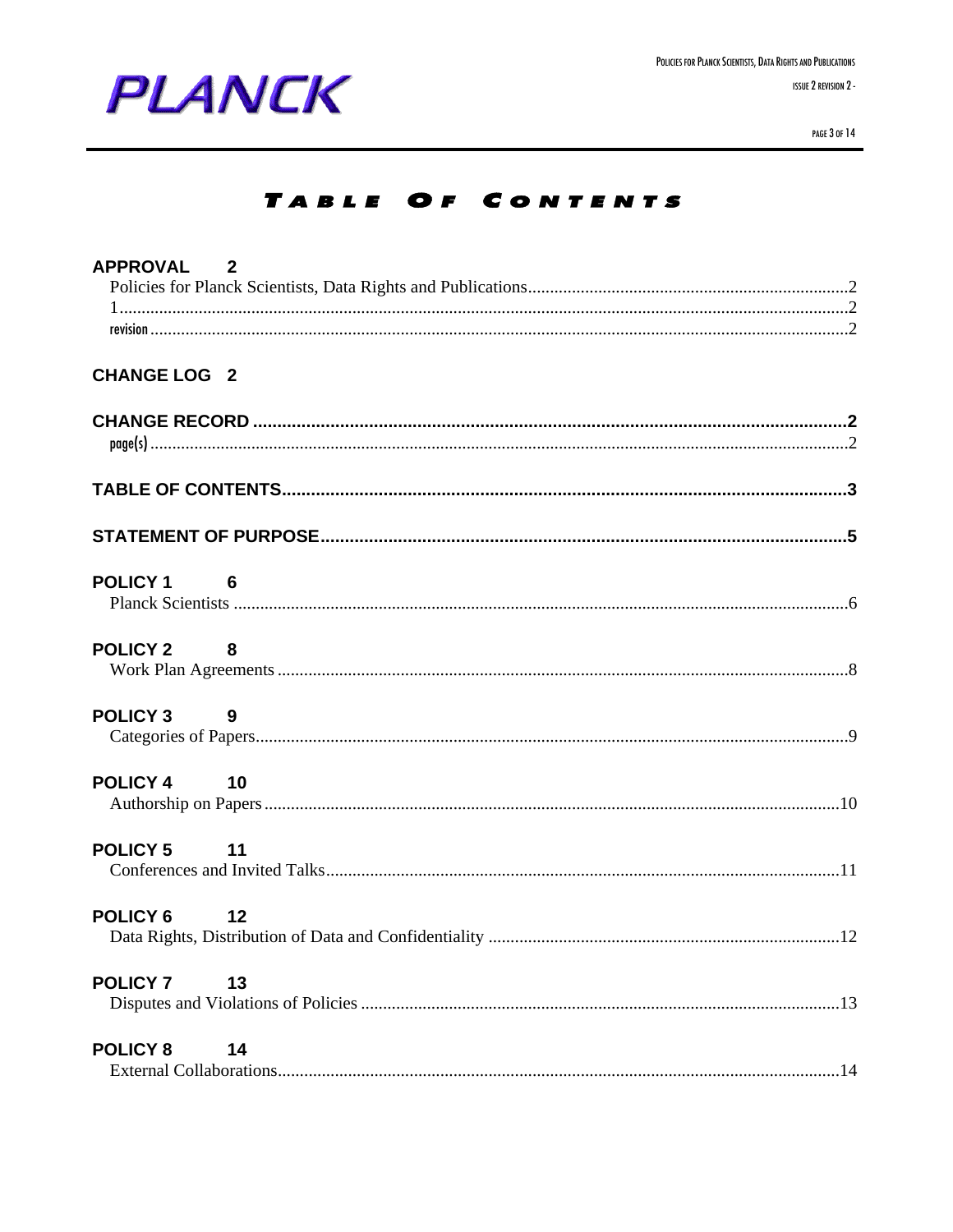

PAGE 3 OF 14

## TABLE OF CONTENTS

| APPROVAL 2          |                             |  |
|---------------------|-----------------------------|--|
|                     |                             |  |
|                     |                             |  |
|                     |                             |  |
|                     |                             |  |
| <b>CHANGE LOG 2</b> |                             |  |
|                     |                             |  |
|                     |                             |  |
|                     |                             |  |
|                     |                             |  |
| <b>POLICY 1</b>     | $\overline{\phantom{0}}$ 6  |  |
|                     |                             |  |
| <b>POLICY 2</b>     | $\overline{\phantom{a}}$ 8  |  |
|                     |                             |  |
| <b>POLICY 3</b>     | $\overline{\mathbf{9}}$     |  |
|                     |                             |  |
| <b>POLICY 4</b>     | $\overline{10}$             |  |
|                     |                             |  |
| <b>POLICY 5</b>     | $\overline{11}$             |  |
|                     |                             |  |
| <b>POLICY 6</b>     | $\overline{\phantom{0}}$ 12 |  |
|                     |                             |  |
| <b>POLICY 7</b>     | 13                          |  |
|                     |                             |  |
| <b>POLICY 8</b>     | 14                          |  |
|                     |                             |  |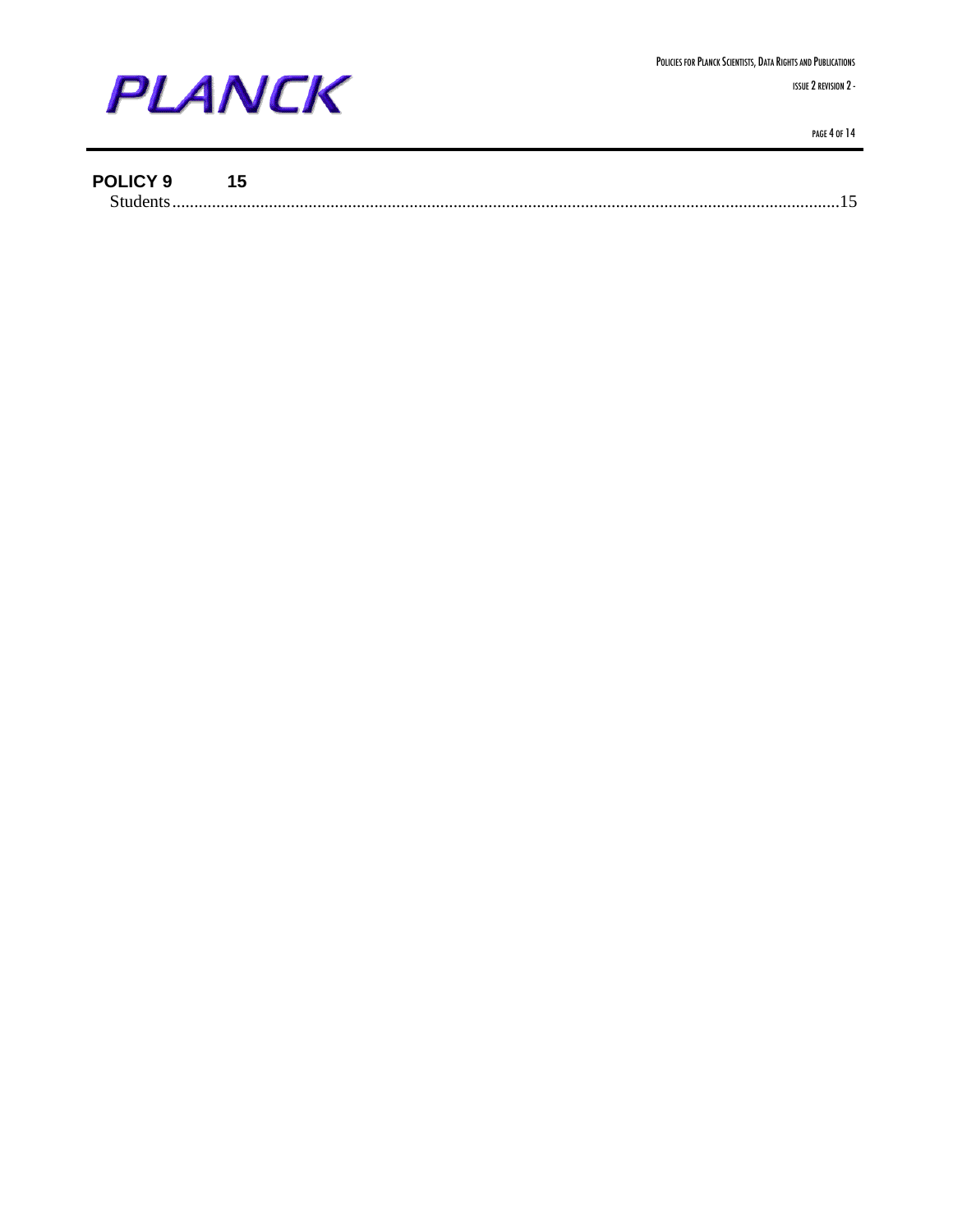

#### **POLICY 9 15**

|--|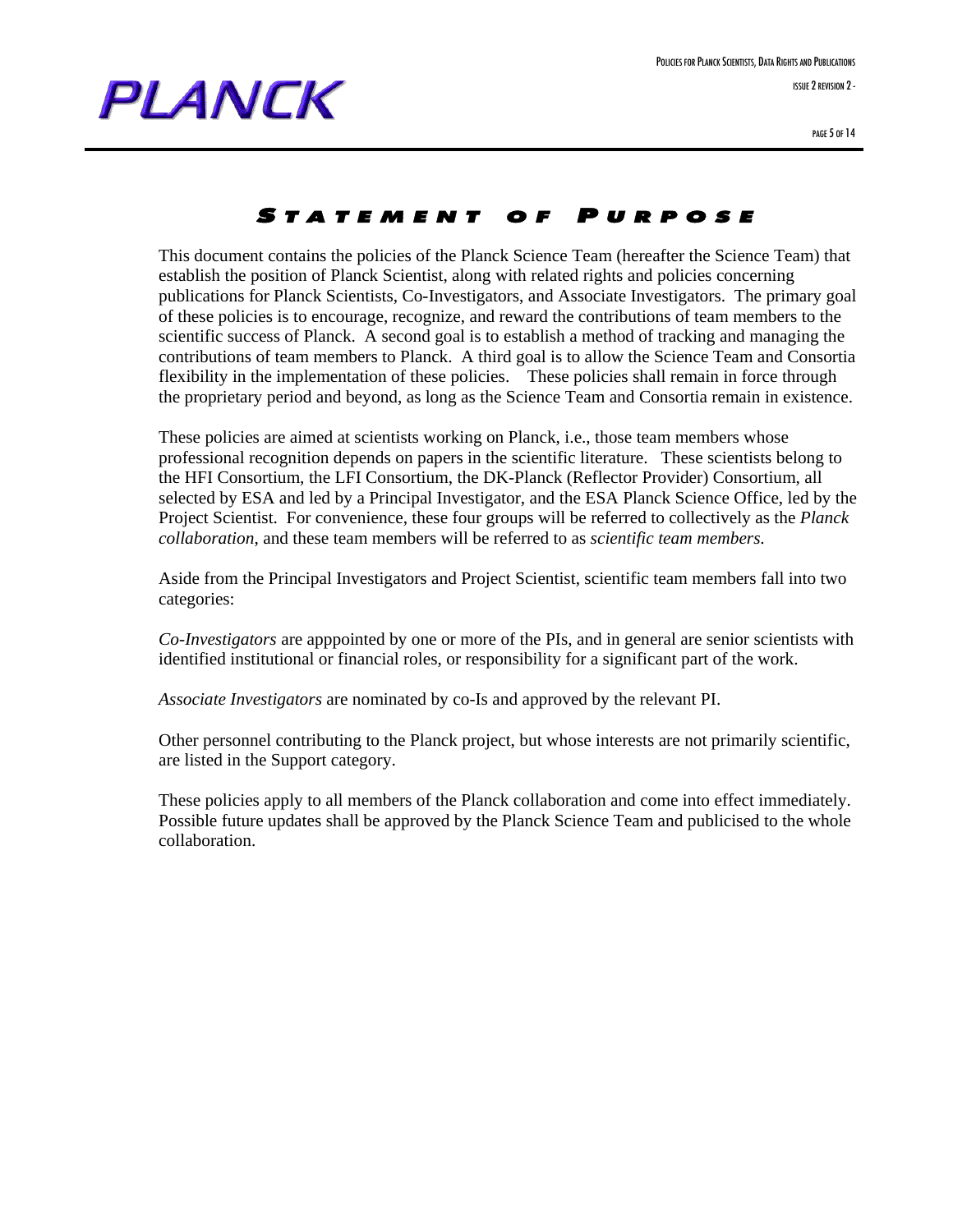

#### S TATEMENT OF P URPOSE

This document contains the policies of the Planck Science Team (hereafter the Science Team) that establish the position of Planck Scientist, along with related rights and policies concerning publications for Planck Scientists, Co-Investigators, and Associate Investigators. The primary goal of these policies is to encourage, recognize, and reward the contributions of team members to the scientific success of Planck. A second goal is to establish a method of tracking and managing the contributions of team members to Planck. A third goal is to allow the Science Team and Consortia flexibility in the implementation of these policies. These policies shall remain in force through the proprietary period and beyond, as long as the Science Team and Consortia remain in existence.

These policies are aimed at scientists working on Planck, i.e., those team members whose professional recognition depends on papers in the scientific literature. These scientists belong to the HFI Consortium, the LFI Consortium, the DK-Planck (Reflector Provider) Consortium, all selected by ESA and led by a Principal Investigator, and the ESA Planck Science Office, led by the Project Scientist. For convenience, these four groups will be referred to collectively as the *Planck collaboration*, and these team members will be referred to as *scientific team members*.

Aside from the Principal Investigators and Project Scientist, scientific team members fall into two categories:

*Co-Investigators* are apppointed by one or more of the PIs, and in general are senior scientists with identified institutional or financial roles, or responsibility for a significant part of the work.

*Associate Investigators* are nominated by co-Is and approved by the relevant PI.

Other personnel contributing to the Planck project, but whose interests are not primarily scientific, are listed in the Support category.

These policies apply to all members of the Planck collaboration and come into effect immediately. Possible future updates shall be approved by the Planck Science Team and publicised to the whole collaboration.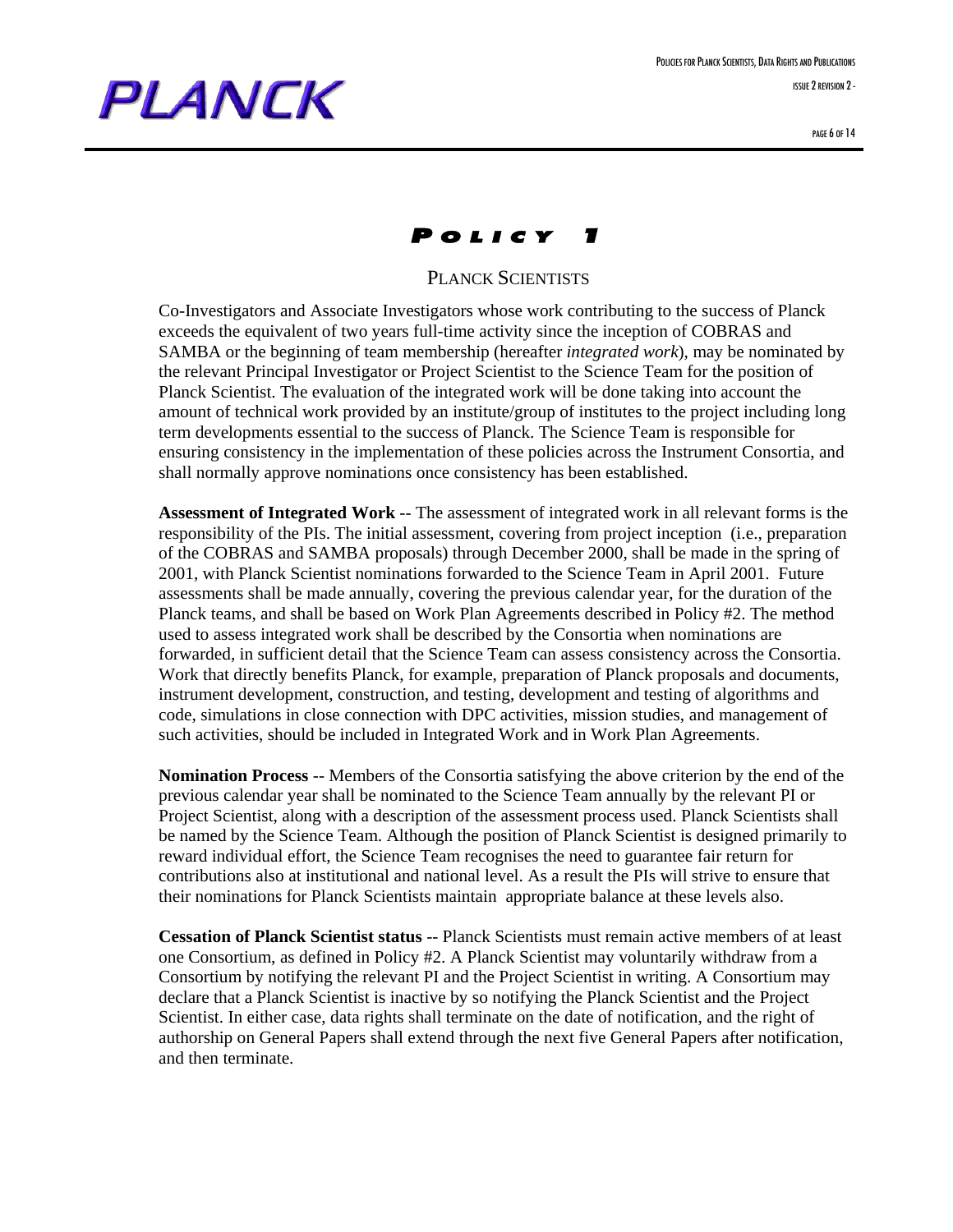## P OLICY 1

#### PLANCK SCIENTISTS

Co-Investigators and Associate Investigators whose work contributing to the success of Planck exceeds the equivalent of two years full-time activity since the inception of COBRAS and SAMBA or the beginning of team membership (hereafter *integrated work*), may be nominated by the relevant Principal Investigator or Project Scientist to the Science Team for the position of Planck Scientist. The evaluation of the integrated work will be done taking into account the amount of technical work provided by an institute/group of institutes to the project including long term developments essential to the success of Planck. The Science Team is responsible for ensuring consistency in the implementation of these policies across the Instrument Consortia, and shall normally approve nominations once consistency has been established.

**Assessment of Integrated Work** -- The assessment of integrated work in all relevant forms is the responsibility of the PIs. The initial assessment, covering from project inception (i.e., preparation of the COBRAS and SAMBA proposals) through December 2000, shall be made in the spring of 2001, with Planck Scientist nominations forwarded to the Science Team in April 2001. Future assessments shall be made annually, covering the previous calendar year, for the duration of the Planck teams, and shall be based on Work Plan Agreements described in Policy #2. The method used to assess integrated work shall be described by the Consortia when nominations are forwarded, in sufficient detail that the Science Team can assess consistency across the Consortia. Work that directly benefits Planck, for example, preparation of Planck proposals and documents, instrument development, construction, and testing, development and testing of algorithms and code, simulations in close connection with DPC activities, mission studies, and management of such activities, should be included in Integrated Work and in Work Plan Agreements.

**Nomination Process** -- Members of the Consortia satisfying the above criterion by the end of the previous calendar year shall be nominated to the Science Team annually by the relevant PI or Project Scientist, along with a description of the assessment process used. Planck Scientists shall be named by the Science Team. Although the position of Planck Scientist is designed primarily to reward individual effort, the Science Team recognises the need to guarantee fair return for contributions also at institutional and national level. As a result the PIs will strive to ensure that their nominations for Planck Scientists maintain appropriate balance at these levels also.

**Cessation of Planck Scientist status** -- Planck Scientists must remain active members of at least one Consortium, as defined in Policy #2. A Planck Scientist may voluntarily withdraw from a Consortium by notifying the relevant PI and the Project Scientist in writing. A Consortium may declare that a Planck Scientist is inactive by so notifying the Planck Scientist and the Project Scientist. In either case, data rights shall terminate on the date of notification, and the right of authorship on General Papers shall extend through the next five General Papers after notification, and then terminate.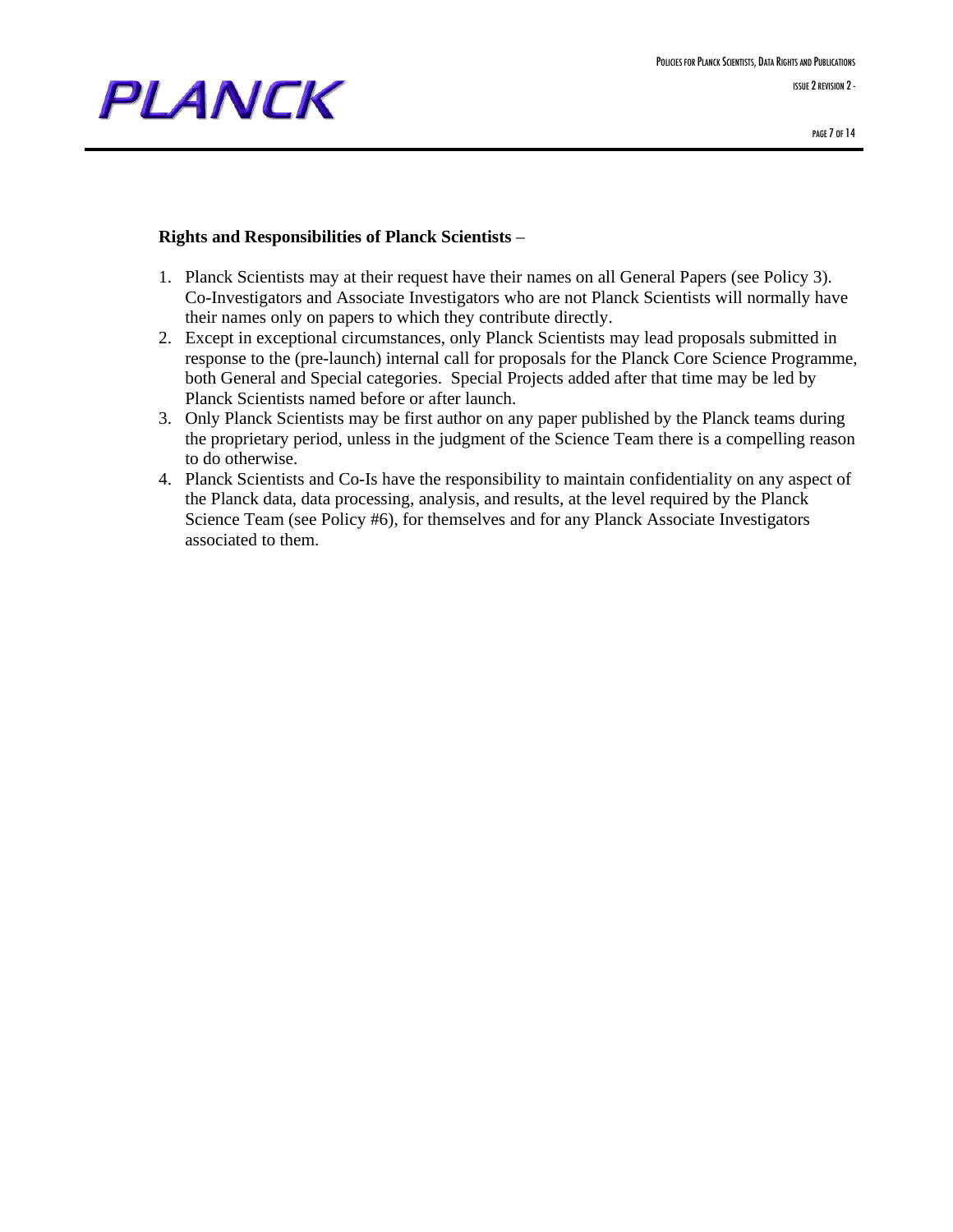

#### **Rights and Responsibilities of Planck Scientists** –

- 1. Planck Scientists may at their request have their names on all General Papers (see Policy 3). Co-Investigators and Associate Investigators who are not Planck Scientists will normally have their names only on papers to which they contribute directly.
- 2. Except in exceptional circumstances, only Planck Scientists may lead proposals submitted in response to the (pre-launch) internal call for proposals for the Planck Core Science Programme, both General and Special categories. Special Projects added after that time may be led by Planck Scientists named before or after launch.
- 3. Only Planck Scientists may be first author on any paper published by the Planck teams during the proprietary period, unless in the judgment of the Science Team there is a compelling reason to do otherwise.
- 4. Planck Scientists and Co-Is have the responsibility to maintain confidentiality on any aspect of the Planck data, data processing, analysis, and results, at the level required by the Planck Science Team (see Policy #6), for themselves and for any Planck Associate Investigators associated to them.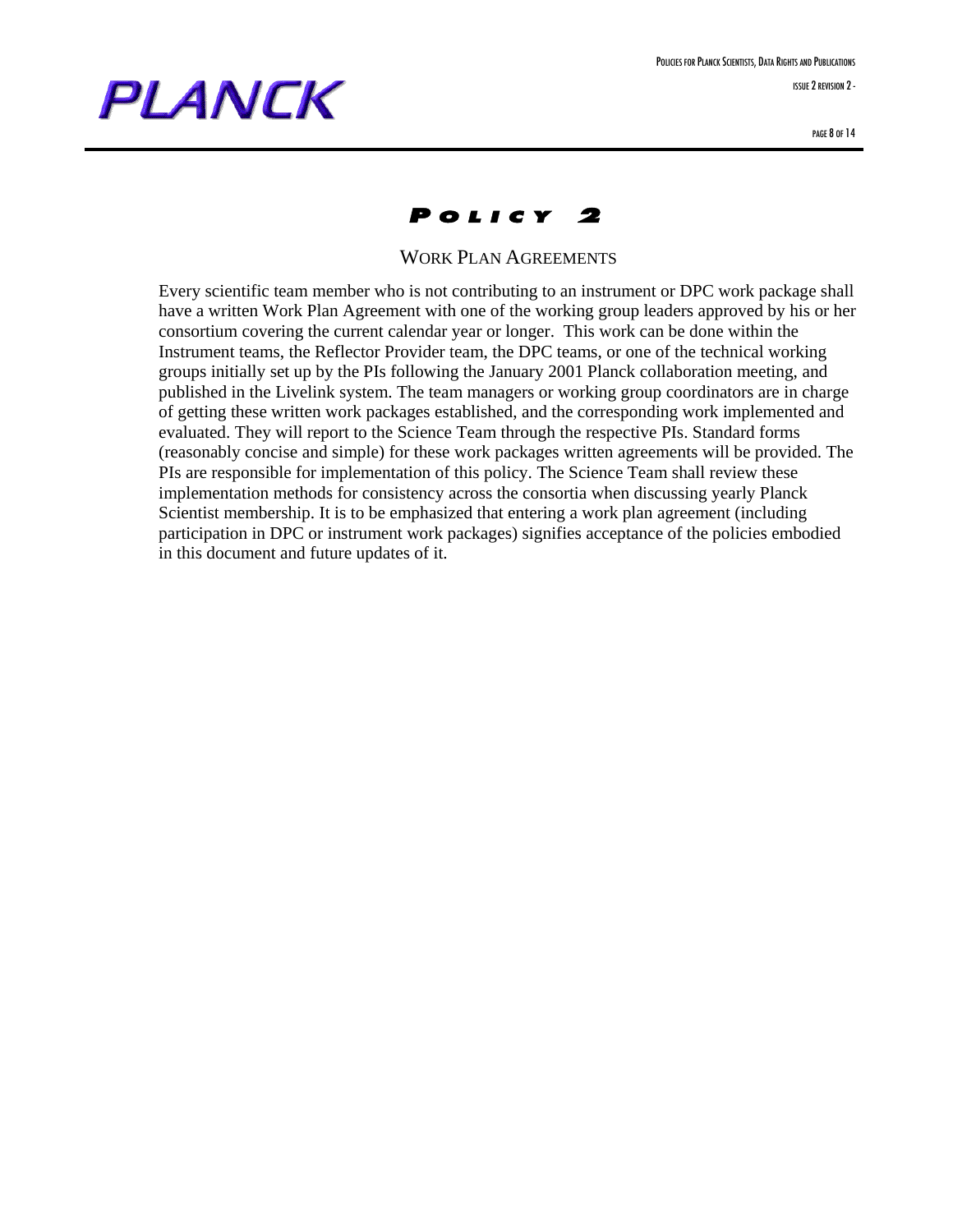### P OLICY 2

WORK PLAN AGREEMENTS

Every scientific team member who is not contributing to an instrument or DPC work package shall have a written Work Plan Agreement with one of the working group leaders approved by his or her consortium covering the current calendar year or longer. This work can be done within the Instrument teams, the Reflector Provider team, the DPC teams, or one of the technical working groups initially set up by the PIs following the January 2001 Planck collaboration meeting, and published in the Livelink system. The team managers or working group coordinators are in charge of getting these written work packages established, and the corresponding work implemented and evaluated. They will report to the Science Team through the respective PIs. Standard forms (reasonably concise and simple) for these work packages written agreements will be provided. The PIs are responsible for implementation of this policy. The Science Team shall review these implementation methods for consistency across the consortia when discussing yearly Planck Scientist membership. It is to be emphasized that entering a work plan agreement (including participation in DPC or instrument work packages) signifies acceptance of the policies embodied in this document and future updates of it.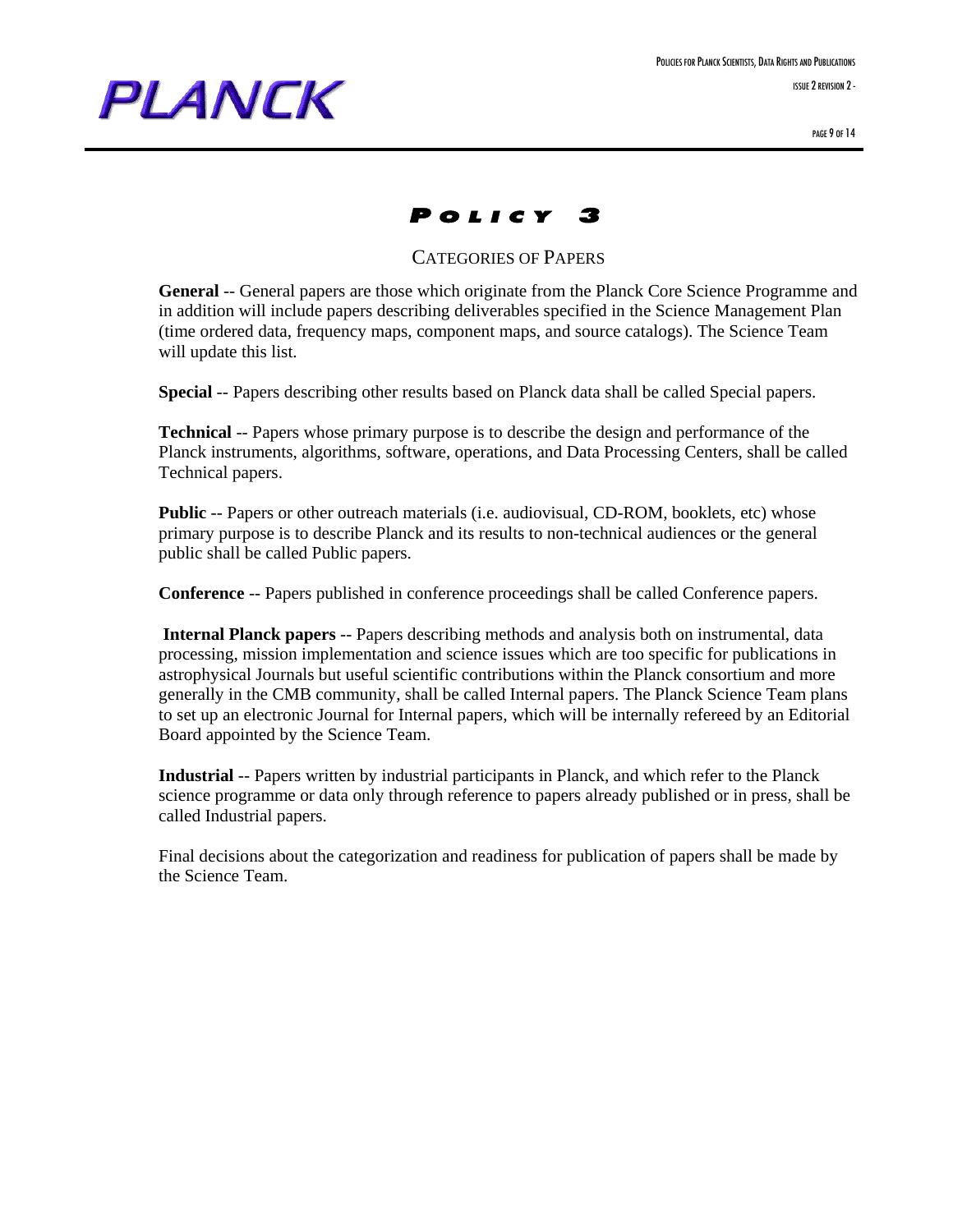### P OLICY 3

#### CATEGORIES OF PAPERS

**General** -- General papers are those which originate from the Planck Core Science Programme and in addition will include papers describing deliverables specified in the Science Management Plan (time ordered data, frequency maps, component maps, and source catalogs). The Science Team will update this list.

**Special** -- Papers describing other results based on Planck data shall be called Special papers.

**Technical** -- Papers whose primary purpose is to describe the design and performance of the Planck instruments, algorithms, software, operations, and Data Processing Centers, shall be called Technical papers.

**Public** -- Papers or other outreach materials (i.e. audiovisual, CD-ROM, booklets, etc) whose primary purpose is to describe Planck and its results to non-technical audiences or the general public shall be called Public papers.

**Conference** -- Papers published in conference proceedings shall be called Conference papers.

**Internal Planck papers** -- Papers describing methods and analysis both on instrumental, data processing, mission implementation and science issues which are too specific for publications in astrophysical Journals but useful scientific contributions within the Planck consortium and more generally in the CMB community, shall be called Internal papers. The Planck Science Team plans to set up an electronic Journal for Internal papers, which will be internally refereed by an Editorial Board appointed by the Science Team.

**Industrial** -- Papers written by industrial participants in Planck, and which refer to the Planck science programme or data only through reference to papers already published or in press, shall be called Industrial papers.

Final decisions about the categorization and readiness for publication of papers shall be made by the Science Team.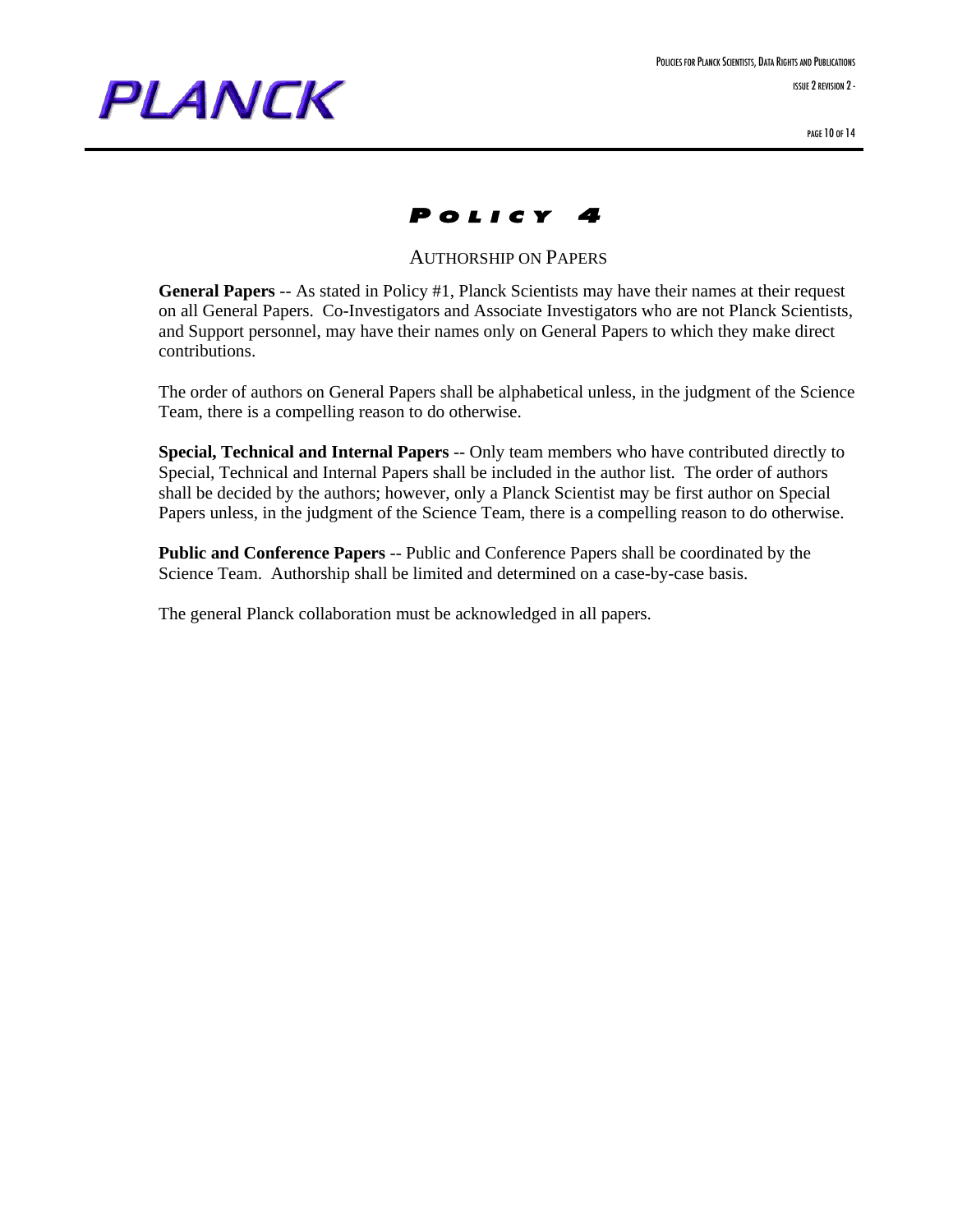

PAGE 10 OF 14



AUTHORSHIP ON PAPERS

**General Papers** -- As stated in Policy #1, Planck Scientists may have their names at their request on all General Papers. Co-Investigators and Associate Investigators who are not Planck Scientists, and Support personnel, may have their names only on General Papers to which they make direct contributions.

The order of authors on General Papers shall be alphabetical unless, in the judgment of the Science Team, there is a compelling reason to do otherwise.

**Special, Technical and Internal Papers** -- Only team members who have contributed directly to Special, Technical and Internal Papers shall be included in the author list. The order of authors shall be decided by the authors; however, only a Planck Scientist may be first author on Special Papers unless, in the judgment of the Science Team, there is a compelling reason to do otherwise.

**Public and Conference Papers** -- Public and Conference Papers shall be coordinated by the Science Team. Authorship shall be limited and determined on a case-by-case basis.

The general Planck collaboration must be acknowledged in all papers.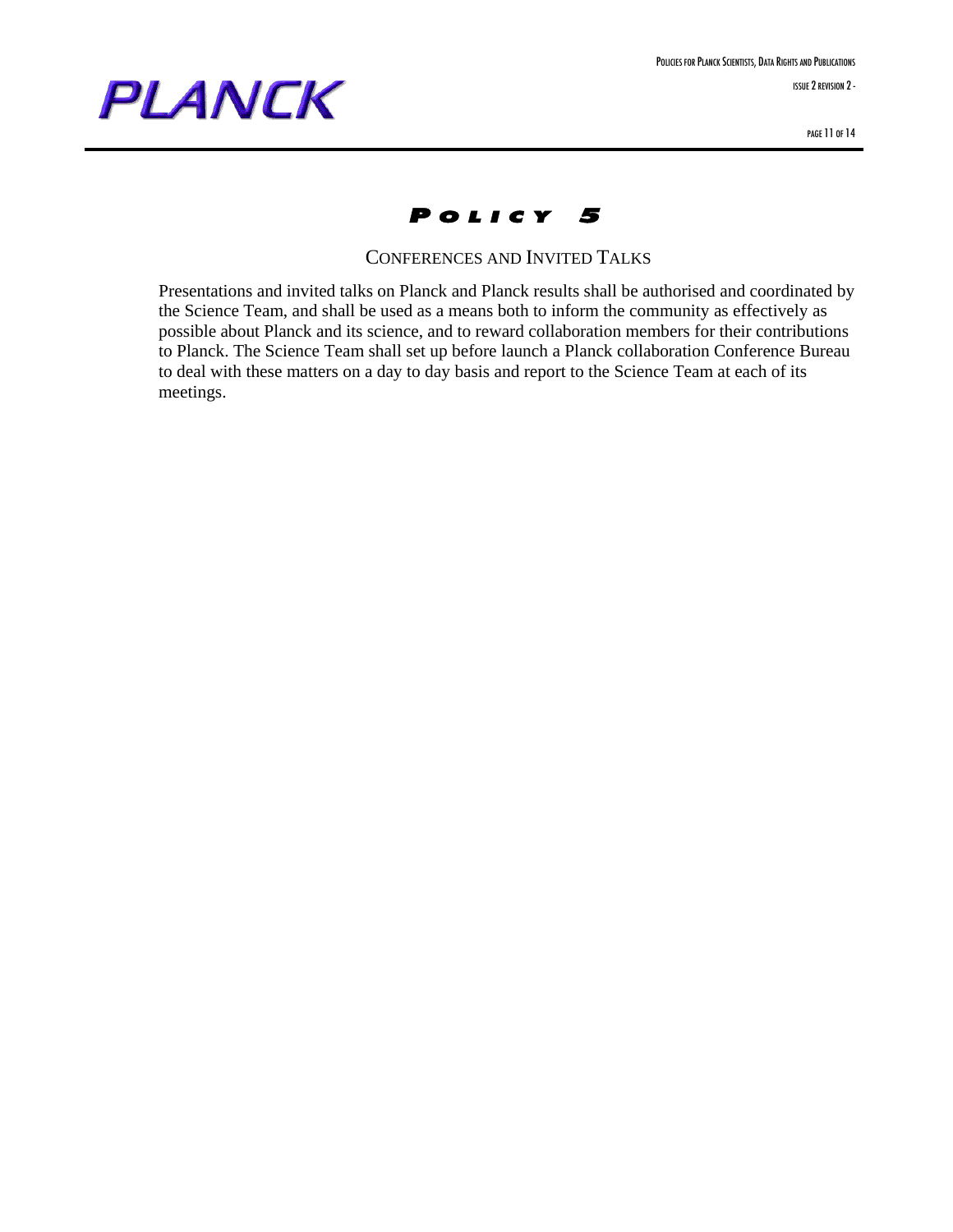



CONFERENCES AND INVITED TALKS

Presentations and invited talks on Planck and Planck results shall be authorised and coordinated by the Science Team, and shall be used as a means both to inform the community as effectively as possible about Planck and its science, and to reward collaboration members for their contributions to Planck. The Science Team shall set up before launch a Planck collaboration Conference Bureau to deal with these matters on a day to day basis and report to the Science Team at each of its meetings.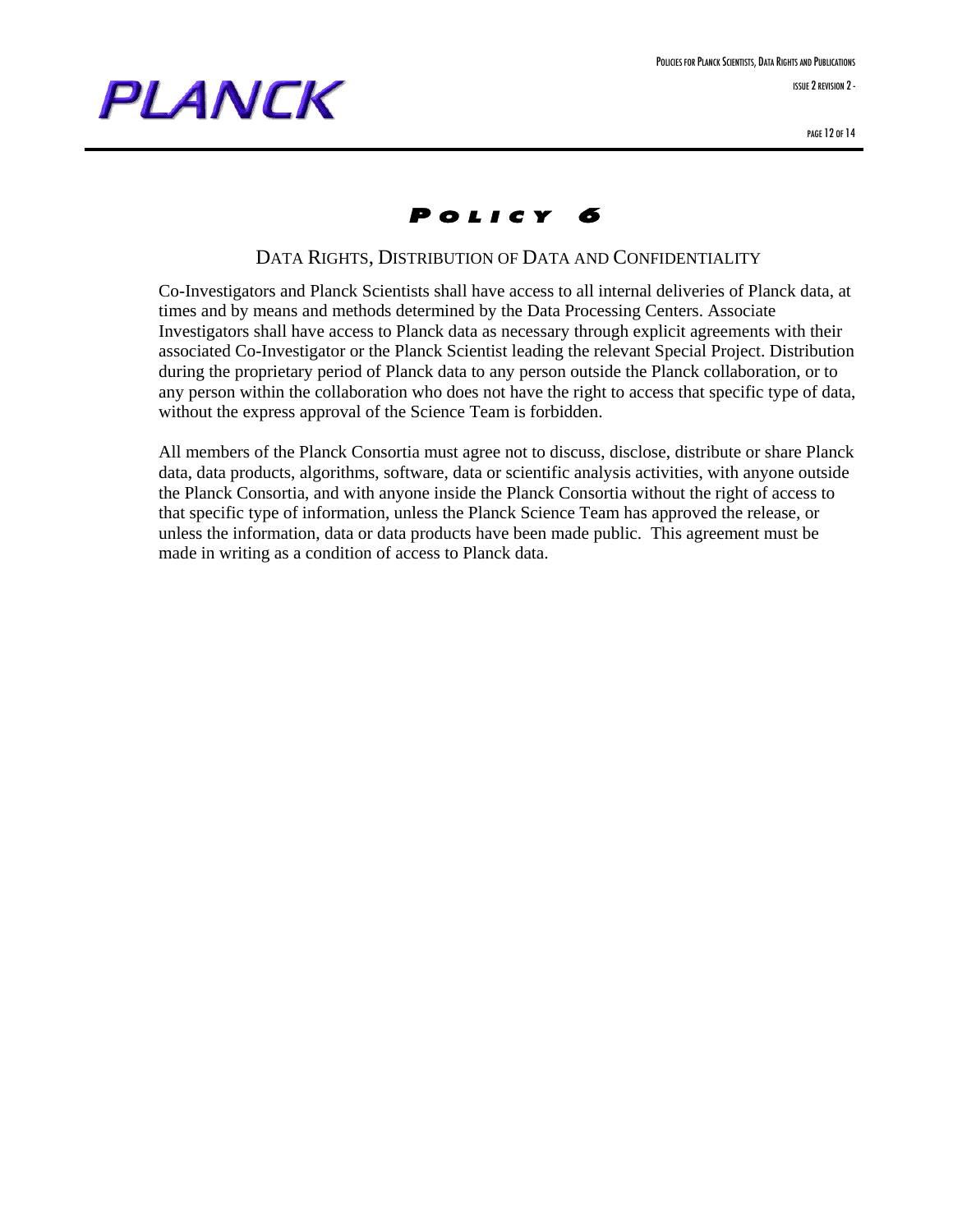

POLICIES FOR PLANCK SCIENTISTS, DATA RIGHTS AND PUBLICATIONS ISSUE 2 REVISION 2-

### P OLICY 6

#### DATA RIGHTS, DISTRIBUTION OF DATA AND CONFIDENTIALITY

Co-Investigators and Planck Scientists shall have access to all internal deliveries of Planck data, at times and by means and methods determined by the Data Processing Centers. Associate Investigators shall have access to Planck data as necessary through explicit agreements with their associated Co-Investigator or the Planck Scientist leading the relevant Special Project. Distribution during the proprietary period of Planck data to any person outside the Planck collaboration, or to any person within the collaboration who does not have the right to access that specific type of data, without the express approval of the Science Team is forbidden.

All members of the Planck Consortia must agree not to discuss, disclose, distribute or share Planck data, data products, algorithms, software, data or scientific analysis activities, with anyone outside the Planck Consortia, and with anyone inside the Planck Consortia without the right of access to that specific type of information, unless the Planck Science Team has approved the release, or unless the information, data or data products have been made public. This agreement must be made in writing as a condition of access to Planck data.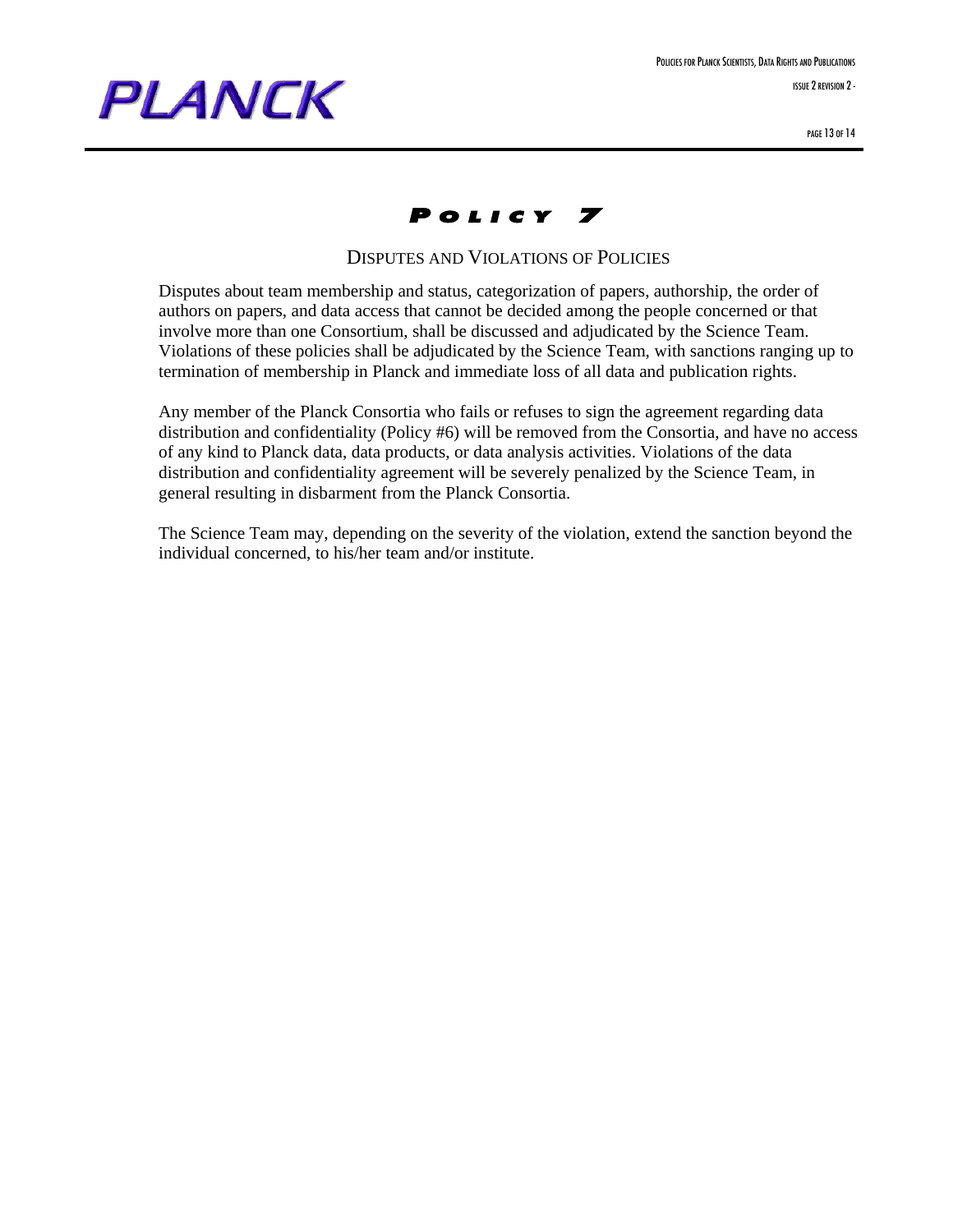

### P OLICY 7

#### DISPUTES AND VIOLATIONS OF POLICIES

Disputes about team membership and status, categorization of papers, authorship, the order of authors on papers, and data access that cannot be decided among the people concerned or that involve more than one Consortium, shall be discussed and adjudicated by the Science Team. Violations of these policies shall be adjudicated by the Science Team, with sanctions ranging up to termination of membership in Planck and immediate loss of all data and publication rights.

Any member of the Planck Consortia who fails or refuses to sign the agreement regarding data distribution and confidentiality (Policy #6) will be removed from the Consortia, and have no access of any kind to Planck data, data products, or data analysis activities. Violations of the data distribution and confidentiality agreement will be severely penalized by the Science Team, in general resulting in disbarment from the Planck Consortia.

The Science Team may, depending on the severity of the violation, extend the sanction beyond the individual concerned, to his/her team and/or institute.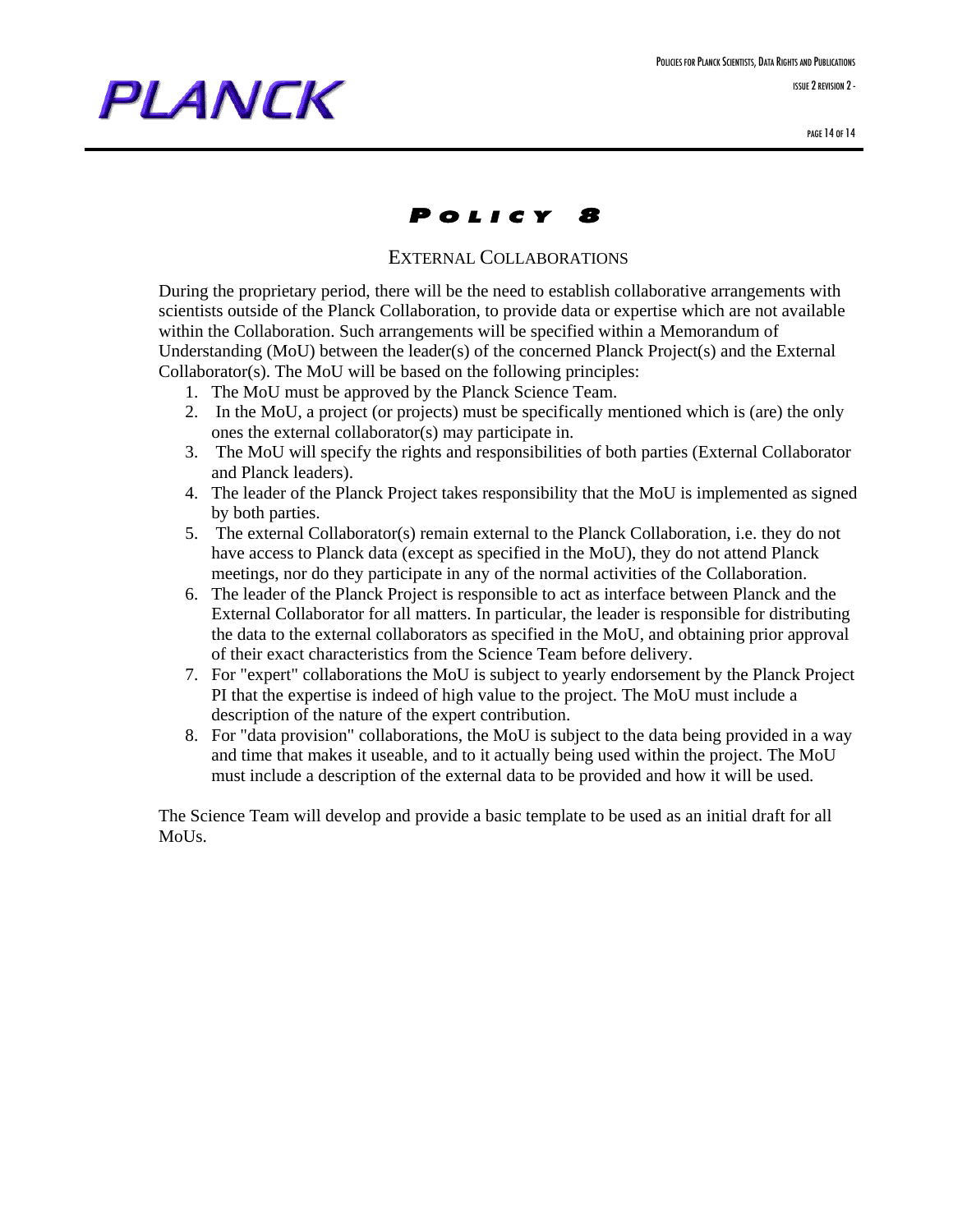### P OLICY 8

#### EXTERNAL COLLABORATIONS

During the proprietary period, there will be the need to establish collaborative arrangements with scientists outside of the Planck Collaboration, to provide data or expertise which are not available within the Collaboration. Such arrangements will be specified within a Memorandum of Understanding (MoU) between the leader(s) of the concerned Planck Project(s) and the External Collaborator(s). The MoU will be based on the following principles:

- 1. The MoU must be approved by the Planck Science Team.
- 2. In the MoU, a project (or projects) must be specifically mentioned which is (are) the only ones the external collaborator(s) may participate in.
- 3. The MoU will specify the rights and responsibilities of both parties (External Collaborator and Planck leaders).
- 4. The leader of the Planck Project takes responsibility that the MoU is implemented as signed by both parties.
- 5. The external Collaborator(s) remain external to the Planck Collaboration, i.e. they do not have access to Planck data (except as specified in the MoU), they do not attend Planck meetings, nor do they participate in any of the normal activities of the Collaboration.
- 6. The leader of the Planck Project is responsible to act as interface between Planck and the External Collaborator for all matters. In particular, the leader is responsible for distributing the data to the external collaborators as specified in the MoU, and obtaining prior approval of their exact characteristics from the Science Team before delivery.
- 7. For "expert" collaborations the MoU is subject to yearly endorsement by the Planck Project PI that the expertise is indeed of high value to the project. The MoU must include a description of the nature of the expert contribution.
- 8. For "data provision" collaborations, the MoU is subject to the data being provided in a way and time that makes it useable, and to it actually being used within the project. The MoU must include a description of the external data to be provided and how it will be used.

The Science Team will develop and provide a basic template to be used as an initial draft for all MoUs.